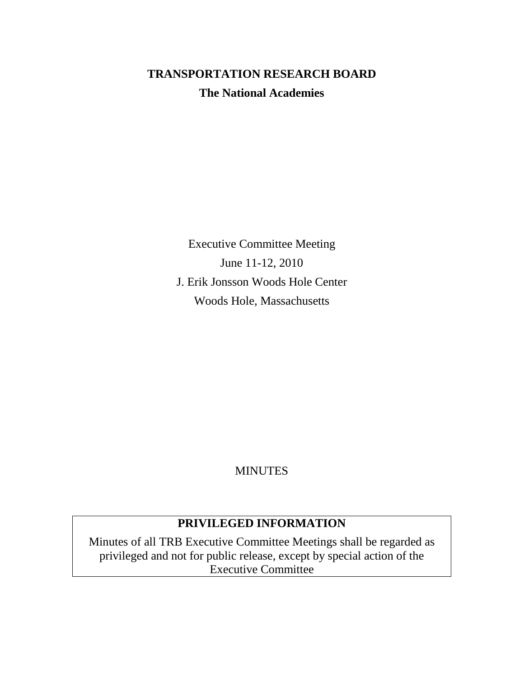# **TRANSPORTATION RESEARCH BOARD The National Academies**

Executive Committee Meeting June 11-12, 2010 J. Erik Jonsson Woods Hole Center Woods Hole, Massachusetts

## **MINUTES**

## **PRIVILEGED INFORMATION**

Minutes of all TRB Executive Committee Meetings shall be regarded as privileged and not for public release, except by special action of the Executive Committee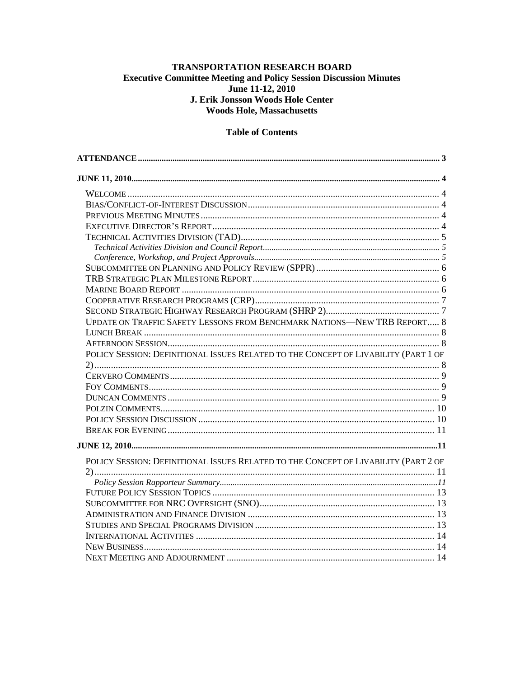#### TRANSPORTATION RESEARCH BOARD **Executive Committee Meeting and Policy Session Discussion Minutes** June 11-12, 2010 J. Erik Jonsson Woods Hole Center **Woods Hole, Massachusetts**

#### **Table of Contents**

| UPDATE ON TRAFFIC SAFETY LESSONS FROM BENCHMARK NATIONS-NEW TRB REPORT 8            |  |
|-------------------------------------------------------------------------------------|--|
|                                                                                     |  |
|                                                                                     |  |
| POLICY SESSION: DEFINITIONAL ISSUES RELATED TO THE CONCEPT OF LIVABILITY (PART 1 OF |  |
|                                                                                     |  |
|                                                                                     |  |
|                                                                                     |  |
|                                                                                     |  |
|                                                                                     |  |
|                                                                                     |  |
|                                                                                     |  |
|                                                                                     |  |
| POLICY SESSION: DEFINITIONAL ISSUES RELATED TO THE CONCEPT OF LIVABILITY (PART 2 OF |  |
|                                                                                     |  |
|                                                                                     |  |
|                                                                                     |  |
|                                                                                     |  |
|                                                                                     |  |
|                                                                                     |  |
|                                                                                     |  |
|                                                                                     |  |
| NEXT MEETING AND ADIOURNMENT 14                                                     |  |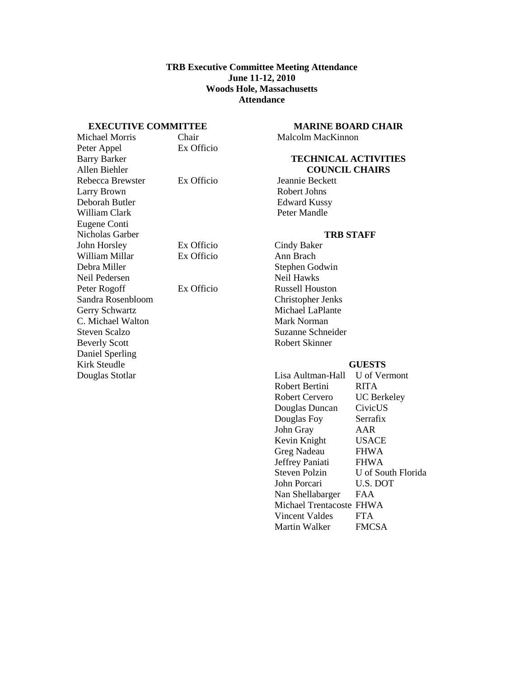#### **TRB Executive Committee Meeting Attendance June 11-12, 2010 Woods Hole, Massachusetts Attendance**

#### <span id="page-2-0"></span>**EXECUTIVE COMMITTEE**

| Michael Morris       | Chair      |
|----------------------|------------|
| Peter Appel          | Ex Officio |
| <b>Barry Barker</b>  |            |
| Allen Biehler        |            |
| Rebecca Brewster     | Ex Officio |
| Larry Brown          |            |
| Deborah Butler       |            |
| William Clark        |            |
| Eugene Conti         |            |
| Nicholas Garber      |            |
| John Horsley         | Ex Officio |
| William Millar       | Ex Officio |
| Debra Miller         |            |
| Neil Pedersen        |            |
| Peter Rogoff         | Ex Officio |
| Sandra Rosenbloom    |            |
| Gerry Schwartz       |            |
| C. Michael Walton    |            |
| <b>Steven Scalzo</b> |            |
| <b>Beverly Scott</b> |            |
| Daniel Sperling      |            |
| Kirk Steudle         |            |
| Douglas Stotlar      |            |
|                      |            |

## **MARINE BOARD CHAIR**

Malcolm MacKinnon

#### **TECHNICAL ACTIVITIES COUNCIL CHAIRS**

Jeannie Beckett Robert Johns Edward Kussy Peter Mandle

#### **TRB STAFF**

Cindy Baker Ann Brach Stephen Godwin Neil Hawks Russell Houston Christopher Jenks Michael LaPlante Mark Norman Suzanne Schneider Robert Skinner

#### **GUESTS**

| Lisa Aultman-Hall        | U of Vermont       |
|--------------------------|--------------------|
| Robert Bertini           | RITA               |
| Robert Cervero           | <b>UC</b> Berkeley |
| Douglas Duncan           | CivicUS            |
| Douglas Foy              | Serrafix           |
| John Gray                | AAR                |
| Kevin Knight             | USACE              |
| Greg Nadeau              | <b>FHWA</b>        |
| Jeffrey Paniati          | <b>FHWA</b>        |
| <b>Steven Polzin</b>     | U of South Florida |
| John Porcari             | U.S. DOT           |
| Nan Shellabarger         | <b>FAA</b>         |
| Michael Trentacoste FHWA |                    |
| Vincent Valdes           | <b>FTA</b>         |
| Martin Walker            | <b>FMCSA</b>       |
|                          |                    |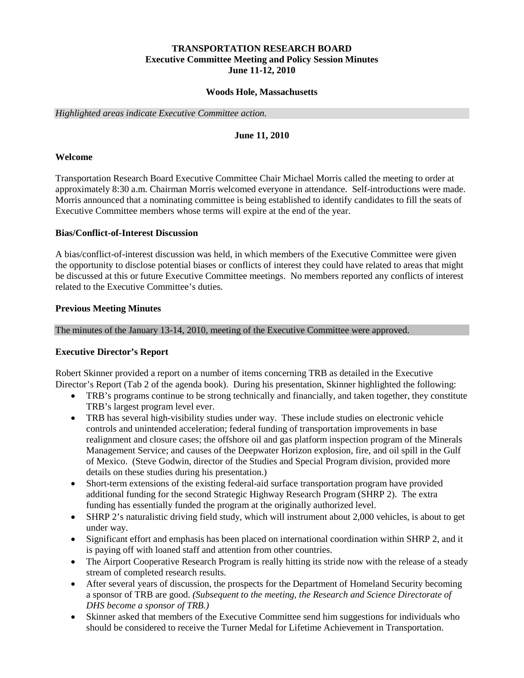#### **TRANSPORTATION RESEARCH BOARD Executive Committee Meeting and Policy Session Minutes June 11-12, 2010**

#### **Woods Hole, Massachusetts**

<span id="page-3-0"></span>*Highlighted areas indicate Executive Committee action.*

#### **June 11, 2010**

#### <span id="page-3-1"></span>**Welcome**

Transportation Research Board Executive Committee Chair Michael Morris called the meeting to order at approximately 8:30 a.m. Chairman Morris welcomed everyone in attendance. Self-introductions were made. Morris announced that a nominating committee is being established to identify candidates to fill the seats of Executive Committee members whose terms will expire at the end of the year.

#### <span id="page-3-2"></span>**Bias/Conflict-of-Interest Discussion**

A bias/conflict-of-interest discussion was held, in which members of the Executive Committee were given the opportunity to disclose potential biases or conflicts of interest they could have related to areas that might be discussed at this or future Executive Committee meetings. No members reported any conflicts of interest related to the Executive Committee's duties.

#### <span id="page-3-3"></span>**Previous Meeting Minutes**

The minutes of the January 13-14, 2010, meeting of the Executive Committee were approved.

#### <span id="page-3-4"></span>**Executive Director's Report**

Robert Skinner provided a report on a number of items concerning TRB as detailed in the Executive Director's Report (Tab 2 of the agenda book). During his presentation, Skinner highlighted the following:

- TRB's programs continue to be strong technically and financially, and taken together, they constitute TRB's largest program level ever.
- TRB has several high-visibility studies under way. These include studies on electronic vehicle controls and unintended acceleration; federal funding of transportation improvements in base realignment and closure cases; the offshore oil and gas platform inspection program of the Minerals Management Service; and causes of the Deepwater Horizon explosion, fire, and oil spill in the Gulf of Mexico. (Steve Godwin, director of the Studies and Special Program division, provided more details on these studies during his presentation.)
- Short-term extensions of the existing federal-aid surface transportation program have provided additional funding for the second Strategic Highway Research Program (SHRP 2). The extra funding has essentially funded the program at the originally authorized level.
- SHRP 2's naturalistic driving field study, which will instrument about 2,000 vehicles, is about to get under way.
- Significant effort and emphasis has been placed on international coordination within SHRP 2, and it is paying off with loaned staff and attention from other countries.
- The Airport Cooperative Research Program is really hitting its stride now with the release of a steady stream of completed research results.
- After several years of discussion, the prospects for the Department of Homeland Security becoming a sponsor of TRB are good. *(Subsequent to the meeting, the Research and Science Directorate of DHS become a sponsor of TRB.)*
- Skinner asked that members of the Executive Committee send him suggestions for individuals who should be considered to receive the Turner Medal for Lifetime Achievement in Transportation.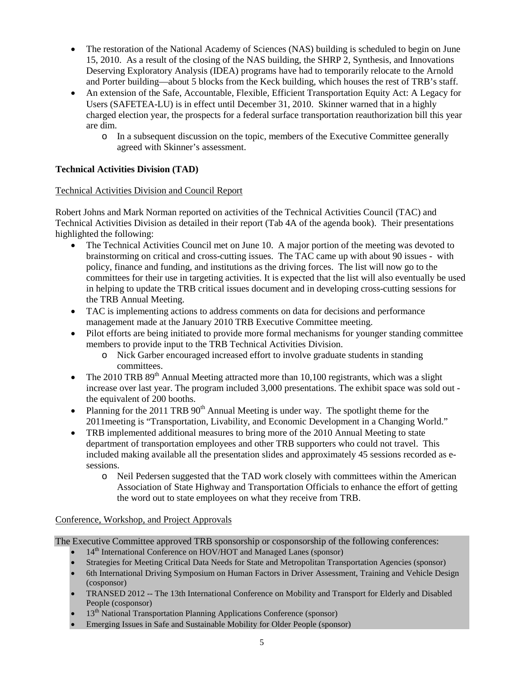- The restoration of the National Academy of Sciences (NAS) building is scheduled to begin on June 15, 2010. As a result of the closing of the NAS building, the SHRP 2, Synthesis, and Innovations Deserving Exploratory Analysis (IDEA) programs have had to temporarily relocate to the Arnold and Porter building—about 5 blocks from the Keck building, which houses the rest of TRB's staff.
- An extension of the Safe, Accountable, Flexible, Efficient Transportation Equity Act: A Legacy for Users (SAFETEA-LU) is in effect until December 31, 2010. Skinner warned that in a highly charged election year, the prospects for a federal surface transportation reauthorization bill this year are dim.
	- o In a subsequent discussion on the topic, members of the Executive Committee generally agreed with Skinner's assessment.

## <span id="page-4-0"></span>**Technical Activities Division (TAD)**

### <span id="page-4-1"></span>Technical Activities Division and Council Report

Robert Johns and Mark Norman reported on activities of the Technical Activities Council (TAC) and Technical Activities Division as detailed in their report (Tab 4A of the agenda book). Their presentations highlighted the following:

- The Technical Activities Council met on June 10. A major portion of the meeting was devoted to brainstorming on critical and cross-cutting issues. The TAC came up with about 90 issues - with policy, finance and funding, and institutions as the driving forces. The list will now go to the committees for their use in targeting activities. It is expected that the list will also eventually be used in helping to update the TRB critical issues document and in developing cross-cutting sessions for the TRB Annual Meeting.
- TAC is implementing actions to address comments on data for decisions and performance management made at the January 2010 TRB Executive Committee meeting.
- Pilot efforts are being initiated to provide more formal mechanisms for younger standing committee members to provide input to the TRB Technical Activities Division.
	- o Nick Garber encouraged increased effort to involve graduate students in standing committees.
- The 2010 TRB  $89<sup>th</sup>$  Annual Meeting attracted more than 10,100 registrants, which was a slight increase over last year. The program included 3,000 presentations. The exhibit space was sold out the equivalent of 200 booths.
- Planning for the 2011 TRB  $90<sup>th</sup>$  Annual Meeting is under way. The spotlight theme for the 2011meeting is "Transportation, Livability, and Economic Development in a Changing World."
- TRB implemented additional measures to bring more of the 2010 Annual Meeting to state department of transportation employees and other TRB supporters who could not travel. This included making available all the presentation slides and approximately 45 sessions recorded as esessions.
	- o Neil Pedersen suggested that the TAD work closely with committees within the American Association of State Highway and Transportation Officials to enhance the effort of getting the word out to state employees on what they receive from TRB.

### <span id="page-4-2"></span>Conference, Workshop, and Project Approvals

The Executive Committee approved TRB sponsorship or cosponsorship of the following conferences:

- 14<sup>th</sup> International Conference on HOV/HOT and Managed Lanes (sponsor)
- Strategies for Meeting Critical Data Needs for State and Metropolitan Transportation Agencies (sponsor)
- 6th International Driving Symposium on Human Factors in Driver Assessment, Training and Vehicle Design (cosponsor)
- TRANSED 2012 -- The 13th International Conference on Mobility and Transport for Elderly and Disabled People (cosponsor)
- 13<sup>th</sup> National Transportation Planning Applications Conference (sponsor)
- Emerging Issues in Safe and Sustainable Mobility for Older People (sponsor)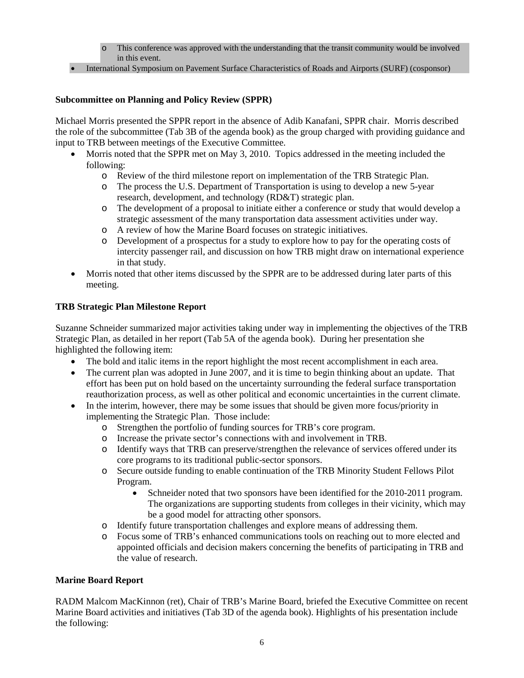- o This conference was approved with the understanding that the transit community would be involved in this event.
- International Symposium on Pavement Surface Characteristics of Roads and Airports (SURF) (cosponsor)

### <span id="page-5-0"></span>**Subcommittee on Planning and Policy Review (SPPR)**

Michael Morris presented the SPPR report in the absence of Adib Kanafani, SPPR chair. Morris described the role of the subcommittee (Tab 3B of the agenda book) as the group charged with providing guidance and input to TRB between meetings of the Executive Committee.

- Morris noted that the SPPR met on May 3, 2010. Topics addressed in the meeting included the following:
	- o Review of the third milestone report on implementation of the TRB Strategic Plan.
	- o The process the U.S. Department of Transportation is using to develop a new 5-year research, development, and technology (RD&T) strategic plan.
	- o The development of a proposal to initiate either a conference or study that would develop a strategic assessment of the many transportation data assessment activities under way.
	- o A review of how the Marine Board focuses on strategic initiatives.
	- o Development of a prospectus for a study to explore how to pay for the operating costs of intercity passenger rail, and discussion on how TRB might draw on international experience in that study.
- Morris noted that other items discussed by the SPPR are to be addressed during later parts of this meeting.

### <span id="page-5-1"></span>**TRB Strategic Plan Milestone Report**

Suzanne Schneider summarized major activities taking under way in implementing the objectives of the TRB Strategic Plan, as detailed in her report (Tab 5A of the agenda book). During her presentation she highlighted the following item:

- The bold and italic items in the report highlight the most recent accomplishment in each area.
- The current plan was adopted in June 2007, and it is time to begin thinking about an update. That effort has been put on hold based on the uncertainty surrounding the federal surface transportation reauthorization process, as well as other political and economic uncertainties in the current climate.
- In the interim, however, there may be some issues that should be given more focus/priority in implementing the Strategic Plan. Those include:
	- o Strengthen the portfolio of funding sources for TRB's core program.
	- o Increase the private sector's connections with and involvement in TRB.
	- o Identify ways that TRB can preserve/strengthen the relevance of services offered under its core programs to its traditional public-sector sponsors.
	- o Secure outside funding to enable continuation of the TRB Minority Student Fellows Pilot Program.
		- Schneider noted that two sponsors have been identified for the 2010-2011 program. The organizations are supporting students from colleges in their vicinity, which may be a good model for attracting other sponsors.
	- o Identify future transportation challenges and explore means of addressing them.<br>  $\circ$  Focus some of TRB's enhanced communications tools on reaching out to more of
	- Focus some of TRB's enhanced communications tools on reaching out to more elected and appointed officials and decision makers concerning the benefits of participating in TRB and the value of research.

### <span id="page-5-2"></span>**Marine Board Report**

RADM Malcom MacKinnon (ret), Chair of TRB's Marine Board, briefed the Executive Committee on recent Marine Board activities and initiatives (Tab 3D of the agenda book). Highlights of his presentation include the following: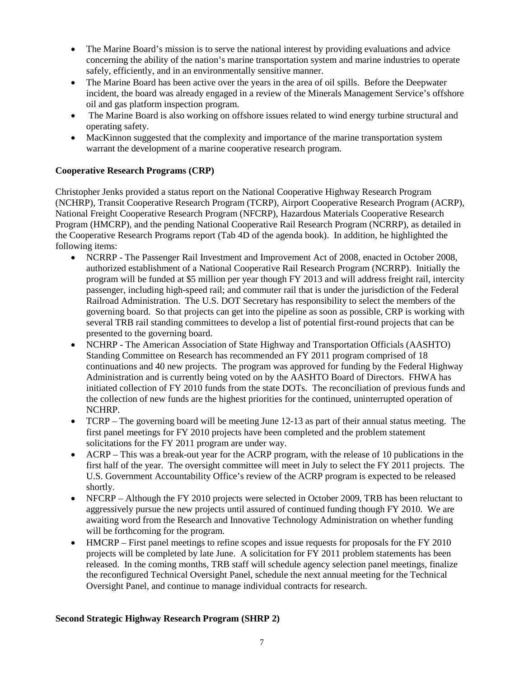- The Marine Board's mission is to serve the national interest by providing evaluations and advice concerning the ability of the nation's marine transportation system and marine industries to operate safely, efficiently, and in an environmentally sensitive manner.
- The Marine Board has been active over the years in the area of oil spills. Before the Deepwater incident, the board was already engaged in a review of the Minerals Management Service's offshore oil and gas platform inspection program.
- The Marine Board is also working on offshore issues related to wind energy turbine structural and operating safety.
- MacKinnon suggested that the complexity and importance of the marine transportation system warrant the development of a marine cooperative research program.

### <span id="page-6-0"></span>**Cooperative Research Programs (CRP)**

Christopher Jenks provided a status report on the National Cooperative Highway Research Program (NCHRP), Transit Cooperative Research Program (TCRP), Airport Cooperative Research Program (ACRP), National Freight Cooperative Research Program (NFCRP), Hazardous Materials Cooperative Research Program (HMCRP), and the pending National Cooperative Rail Research Program (NCRRP), as detailed in the Cooperative Research Programs report (Tab 4D of the agenda book). In addition, he highlighted the following items:

- NCRRP The Passenger Rail Investment and Improvement Act of 2008, enacted in October 2008, authorized establishment of a National Cooperative Rail Research Program (NCRRP). Initially the program will be funded at \$5 million per year though FY 2013 and will address freight rail, intercity passenger, including high-speed rail; and commuter rail that is under the jurisdiction of the Federal Railroad Administration. The U.S. DOT Secretary has responsibility to select the members of the governing board. So that projects can get into the pipeline as soon as possible, CRP is working with several TRB rail standing committees to develop a list of potential first-round projects that can be presented to the governing board.
- NCHRP The American Association of State Highway and Transportation Officials (AASHTO) Standing Committee on Research has recommended an FY 2011 program comprised of 18 continuations and 40 new projects. The program was approved for funding by the Federal Highway Administration and is currently being voted on by the AASHTO Board of Directors. FHWA has initiated collection of FY 2010 funds from the state DOTs. The reconciliation of previous funds and the collection of new funds are the highest priorities for the continued, uninterrupted operation of NCHRP.
- TCRP The governing board will be meeting June 12-13 as part of their annual status meeting. The first panel meetings for FY 2010 projects have been completed and the problem statement solicitations for the FY 2011 program are under way.
- ACRP This was a break-out year for the ACRP program, with the release of 10 publications in the first half of the year. The oversight committee will meet in July to select the FY 2011 projects. The U.S. Government Accountability Office's review of the ACRP program is expected to be released shortly.
- NFCRP Although the FY 2010 projects were selected in October 2009, TRB has been reluctant to aggressively pursue the new projects until assured of continued funding though FY 2010. We are awaiting word from the Research and Innovative Technology Administration on whether funding will be forthcoming for the program.
- HMCRP First panel meetings to refine scopes and issue requests for proposals for the FY 2010 projects will be completed by late June. A solicitation for FY 2011 problem statements has been released. In the coming months, TRB staff will schedule agency selection panel meetings, finalize the reconfigured Technical Oversight Panel, schedule the next annual meeting for the Technical Oversight Panel, and continue to manage individual contracts for research.

#### <span id="page-6-1"></span>**Second Strategic Highway Research Program (SHRP 2)**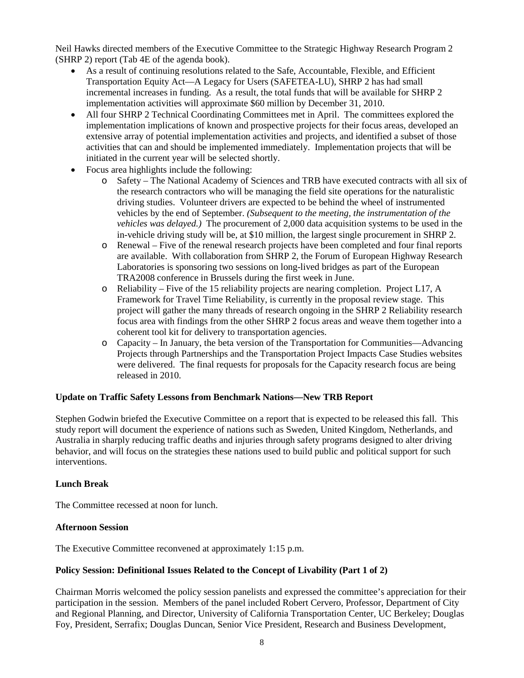Neil Hawks directed members of the Executive Committee to the Strategic Highway Research Program 2 (SHRP 2) report (Tab 4E of the agenda book).

- As a result of continuing resolutions related to the Safe, Accountable, Flexible, and Efficient Transportation Equity Act—A Legacy for Users (SAFETEA-LU), SHRP 2 has had small incremental increases in funding. As a result, the total funds that will be available for SHRP 2 implementation activities will approximate \$60 million by December 31, 2010.
- All four SHRP 2 Technical Coordinating Committees met in April. The committees explored the implementation implications of known and prospective projects for their focus areas, developed an extensive array of potential implementation activities and projects, and identified a subset of those activities that can and should be implemented immediately. Implementation projects that will be initiated in the current year will be selected shortly.
- Focus area highlights include the following:
	- o Safety The National Academy of Sciences and TRB have executed contracts with all six of the research contractors who will be managing the field site operations for the naturalistic driving studies. Volunteer drivers are expected to be behind the wheel of instrumented vehicles by the end of September. *(Subsequent to the meeting, the instrumentation of the vehicles was delayed.)* The procurement of 2,000 data acquisition systems to be used in the in-vehicle driving study will be, at \$10 million, the largest single procurement in SHRP 2.
	- o Renewal Five of the renewal research projects have been completed and four final reports are available. With collaboration from SHRP 2, the Forum of European Highway Research Laboratories is sponsoring two sessions on long-lived bridges as part of the European TRA2008 conference in Brussels during the first week in June.
	- o Reliability Five of the 15 reliability projects are nearing completion. Project L17, A Framework for Travel Time Reliability, is currently in the proposal review stage. This project will gather the many threads of research ongoing in the SHRP 2 Reliability research focus area with findings from the other SHRP 2 focus areas and weave them together into a coherent tool kit for delivery to transportation agencies.
	- o Capacity In January, the beta version of the Transportation for Communities—Advancing Projects through Partnerships and the Transportation Project Impacts Case Studies websites were delivered. The final requests for proposals for the Capacity research focus are being released in 2010.

#### <span id="page-7-0"></span>**Update on Traffic Safety Lessons from Benchmark Nations—New TRB Report**

Stephen Godwin briefed the Executive Committee on a report that is expected to be released this fall. This study report will document the experience of nations such as Sweden, United Kingdom, Netherlands, and Australia in sharply reducing traffic deaths and injuries through safety programs designed to alter driving behavior, and will focus on the strategies these nations used to build public and political support for such interventions.

#### <span id="page-7-1"></span>**Lunch Break**

The Committee recessed at noon for lunch.

#### <span id="page-7-2"></span>**Afternoon Session**

The Executive Committee reconvened at approximately 1:15 p.m.

#### <span id="page-7-3"></span>**Policy Session: Definitional Issues Related to the Concept of Livability (Part 1 of 2)**

Chairman Morris welcomed the policy session panelists and expressed the committee's appreciation for their participation in the session. Members of the panel included Robert Cervero, Professor, Department of City and Regional Planning, and Director, University of California Transportation Center, UC Berkeley; Douglas Foy, President, Serrafix; Douglas Duncan, Senior Vice President, Research and Business Development,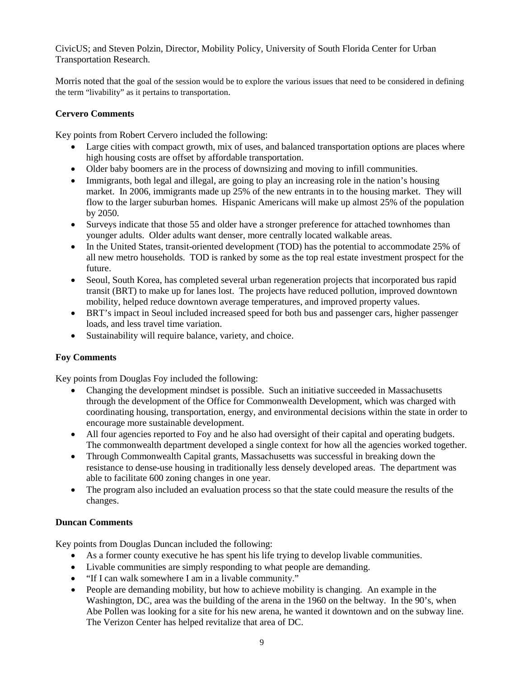CivicUS; and Steven Polzin, Director, Mobility Policy, University of South Florida Center for Urban Transportation Research.

Morris noted that the goal of the session would be to explore the various issues that need to be considered in defining the term "livability" as it pertains to transportation.

#### <span id="page-8-0"></span>**Cervero Comments**

Key points from Robert Cervero included the following:

- Large cities with compact growth, mix of uses, and balanced transportation options are places where high housing costs are offset by affordable transportation.
- Older baby boomers are in the process of downsizing and moving to infill communities.
- Immigrants, both legal and illegal, are going to play an increasing role in the nation's housing market. In 2006, immigrants made up 25% of the new entrants in to the housing market. They will flow to the larger suburban homes. Hispanic Americans will make up almost 25% of the population by 2050.
- Surveys indicate that those 55 and older have a stronger preference for attached townhomes than younger adults. Older adults want denser, more centrally located walkable areas.
- In the United States, transit-oriented development (TOD) has the potential to accommodate 25% of all new metro households. TOD is ranked by some as the top real estate investment prospect for the future.
- Seoul, South Korea, has completed several urban regeneration projects that incorporated bus rapid transit (BRT) to make up for lanes lost. The projects have reduced pollution, improved downtown mobility, helped reduce downtown average temperatures, and improved property values.
- BRT's impact in Seoul included increased speed for both bus and passenger cars, higher passenger loads, and less travel time variation.
- Sustainability will require balance, variety, and choice.

#### <span id="page-8-1"></span>**Foy Comments**

Key points from Douglas Foy included the following:

- Changing the development mindset is possible. Such an initiative succeeded in Massachusetts through the development of the Office for Commonwealth Development, which was charged with coordinating housing, transportation, energy, and environmental decisions within the state in order to encourage more sustainable development.
- All four agencies reported to Foy and he also had oversight of their capital and operating budgets. The commonwealth department developed a single context for how all the agencies worked together.
- Through Commonwealth Capital grants, Massachusetts was successful in breaking down the resistance to dense-use housing in traditionally less densely developed areas. The department was able to facilitate 600 zoning changes in one year.
- The program also included an evaluation process so that the state could measure the results of the changes.

#### <span id="page-8-2"></span>**Duncan Comments**

Key points from Douglas Duncan included the following:

- As a former county executive he has spent his life trying to develop livable communities.
- Livable communities are simply responding to what people are demanding.
- "If I can walk somewhere I am in a livable community."
- People are demanding mobility, but how to achieve mobility is changing. An example in the Washington, DC, area was the building of the arena in the 1960 on the beltway. In the 90's, when Abe Pollen was looking for a site for his new arena, he wanted it downtown and on the subway line. The Verizon Center has helped revitalize that area of DC.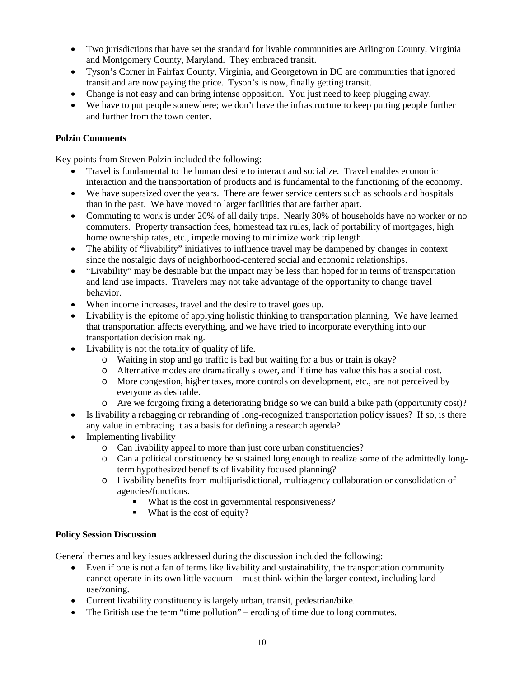- Two jurisdictions that have set the standard for livable communities are Arlington County, Virginia and Montgomery County, Maryland. They embraced transit.
- Tyson's Corner in Fairfax County, Virginia, and Georgetown in DC are communities that ignored transit and are now paying the price. Tyson's is now, finally getting transit.
- Change is not easy and can bring intense opposition. You just need to keep plugging away.
- We have to put people somewhere; we don't have the infrastructure to keep putting people further and further from the town center.

## <span id="page-9-0"></span>**Polzin Comments**

Key points from Steven Polzin included the following:

- Travel is fundamental to the human desire to interact and socialize. Travel enables economic interaction and the transportation of products and is fundamental to the functioning of the economy.
- We have supersized over the years. There are fewer service centers such as schools and hospitals than in the past. We have moved to larger facilities that are farther apart.
- Commuting to work is under 20% of all daily trips. Nearly 30% of households have no worker or no commuters. Property transaction fees, homestead tax rules, lack of portability of mortgages, high home ownership rates, etc., impede moving to minimize work trip length.
- The ability of "livability" initiatives to influence travel may be dampened by changes in context since the nostalgic days of neighborhood-centered social and economic relationships.
- "Livability" may be desirable but the impact may be less than hoped for in terms of transportation and land use impacts. Travelers may not take advantage of the opportunity to change travel behavior.
- When income increases, travel and the desire to travel goes up.
- Livability is the epitome of applying holistic thinking to transportation planning. We have learned that transportation affects everything, and we have tried to incorporate everything into our transportation decision making.
- Livability is not the totality of quality of life.
	- o Waiting in stop and go traffic is bad but waiting for a bus or train is okay?
	- o Alternative modes are dramatically slower, and if time has value this has a social cost.
	- o More congestion, higher taxes, more controls on development, etc., are not perceived by everyone as desirable.
	- o Are we forgoing fixing a deteriorating bridge so we can build a bike path (opportunity cost)?
- Is livability a rebagging or rebranding of long-recognized transportation policy issues? If so, is there any value in embracing it as a basis for defining a research agenda?
- Implementing livability
	- o Can livability appeal to more than just core urban constituencies?
	- o Can a political constituency be sustained long enough to realize some of the admittedly longterm hypothesized benefits of livability focused planning?
	- o Livability benefits from multijurisdictional, multiagency collaboration or consolidation of agencies/functions.
		- What is the cost in governmental responsiveness?
		- What is the cost of equity?

### <span id="page-9-1"></span>**Policy Session Discussion**

General themes and key issues addressed during the discussion included the following:

- Even if one is not a fan of terms like livability and sustainability, the transportation community cannot operate in its own little vacuum – must think within the larger context, including land use/zoning.
- Current livability constituency is largely urban, transit, pedestrian/bike.
- The British use the term "time pollution" eroding of time due to long commutes.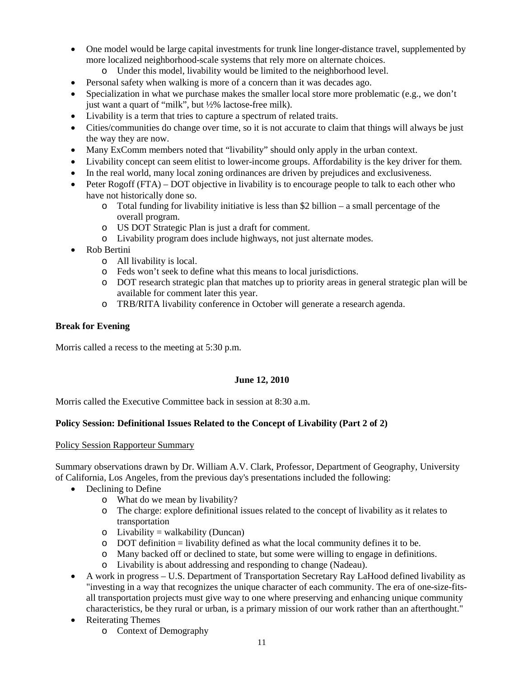- One model would be large capital investments for trunk line longer-distance travel, supplemented by more localized neighborhood-scale systems that rely more on alternate choices.
	- o Under this model, livability would be limited to the neighborhood level.
- Personal safety when walking is more of a concern than it was decades ago.
- Specialization in what we purchase makes the smaller local store more problematic (e.g., we don't just want a quart of "milk", but ½% lactose-free milk).
- Livability is a term that tries to capture a spectrum of related traits.
- Cities/communities do change over time, so it is not accurate to claim that things will always be just the way they are now.
- Many ExComm members noted that "livability" should only apply in the urban context.
- Livability concept can seem elitist to lower-income groups. Affordability is the key driver for them.
- In the real world, many local zoning ordinances are driven by prejudices and exclusiveness.
- Peter Rogoff (FTA) DOT objective in livability is to encourage people to talk to each other who have not historically done so.
	- $\circ$  Total funding for livability initiative is less than \$2 billion a small percentage of the overall program.
	- o US DOT Strategic Plan is just a draft for comment.
	- o Livability program does include highways, not just alternate modes.
- Rob Bertini
	- o All livability is local.
	- o Feds won't seek to define what this means to local jurisdictions.
	- o DOT research strategic plan that matches up to priority areas in general strategic plan will be available for comment later this year.
	- o TRB/RITA livability conference in October will generate a research agenda.

#### <span id="page-10-0"></span>**Break for Evening**

Morris called a recess to the meeting at 5:30 p.m.

#### **June 12, 2010**

<span id="page-10-1"></span>Morris called the Executive Committee back in session at 8:30 a.m.

### <span id="page-10-2"></span>**Policy Session: Definitional Issues Related to the Concept of Livability (Part 2 of 2)**

#### <span id="page-10-3"></span>Policy Session Rapporteur Summary

Summary observations drawn by Dr. William A.V. Clark, Professor, Department of Geography, University of California, Los Angeles, from the previous day's presentations included the following:

- Declining to Define
	- o What do we mean by livability?
	- o The charge: explore definitional issues related to the concept of livability as it relates to transportation
	- $\circ$  Livability = walkability (Duncan)
	- o DOT definition = livability defined as what the local community defines it to be.
	- o Many backed off or declined to state, but some were willing to engage in definitions.
	- o Livability is about addressing and responding to change (Nadeau).
- A work in progress U.S. Department of Transportation Secretary Ray LaHood defined livability as "investing in a way that recognizes the unique character of each community. The era of one-size-fitsall transportation projects must give way to one where preserving and enhancing unique community characteristics, be they rural or urban, is a primary mission of our work rather than an afterthought."
- Reiterating Themes
	- o Context of Demography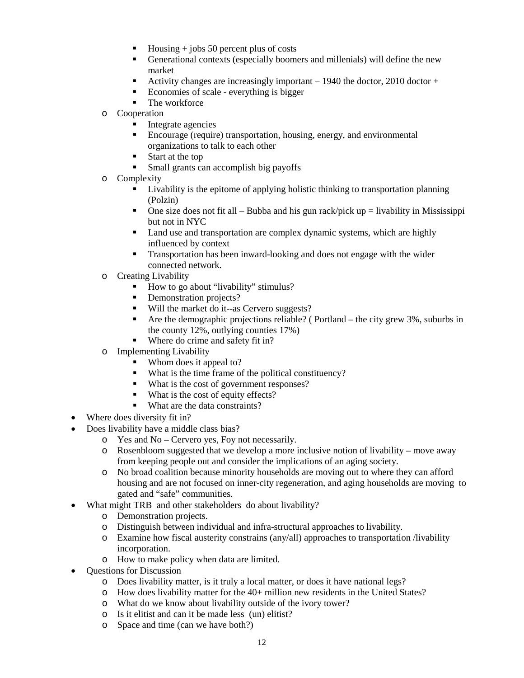- Housing + jobs 50 percent plus of costs
- Generational contexts (especially boomers and millenials) will define the new market
- Activity changes are increasingly important  $-1940$  the doctor, 2010 doctor +
- Economies of scale everything is bigger
- The workforce
- o Cooperation
	- Integrate agencies
	- Encourage (require) transportation, housing, energy, and environmental organizations to talk to each other
	- Start at the top
	- Small grants can accomplish big payoffs
- o Complexity
	- Livability is the epitome of applying holistic thinking to transportation planning (Polzin)
	- One size does not fit all Bubba and his gun rack/pick up  $=$  livability in Mississippi but not in NYC
	- Land use and transportation are complex dynamic systems, which are highly influenced by context
	- **Transportation has been inward-looking and does not engage with the wider** connected network.
- o Creating Livability
	- How to go about "livability" stimulus?
	- Demonstration projects?
	- Will the market do it--as Cervero suggests?
	- $\blacksquare$  Are the demographic projections reliable? (Portland the city grew 3%, suburbs in the county 12%, outlying counties 17%)
	- Where do crime and safety fit in?
- o Implementing Livability
	- Whom does it appeal to?
	- What is the time frame of the political constituency?
	- What is the cost of government responses?
	- What is the cost of equity effects?
	- What are the data constraints?
- Where does diversity fit in?
- Does livability have a middle class bias?
	- o Yes and No Cervero yes, Foy not necessarily.
	- o Rosenbloom suggested that we develop a more inclusive notion of livability move away from keeping people out and consider the implications of an aging society.
	- o No broad coalition because minority households are moving out to where they can afford housing and are not focused on inner-city regeneration, and aging households are moving to gated and "safe" communities.
- What might TRB and other stakeholders do about livability?
	- o Demonstration projects.
	- o Distinguish between individual and infra-structural approaches to livability.
	- o Examine how fiscal austerity constrains (any/all) approaches to transportation /livability incorporation.
	- o How to make policy when data are limited.
- Questions for Discussion
	- o Does livability matter, is it truly a local matter, or does it have national legs?
	- o How does livability matter for the 40+ million new residents in the United States?
	- o What do we know about livability outside of the ivory tower?
	- o Is it elitist and can it be made less (un) elitist?
	- o Space and time (can we have both?)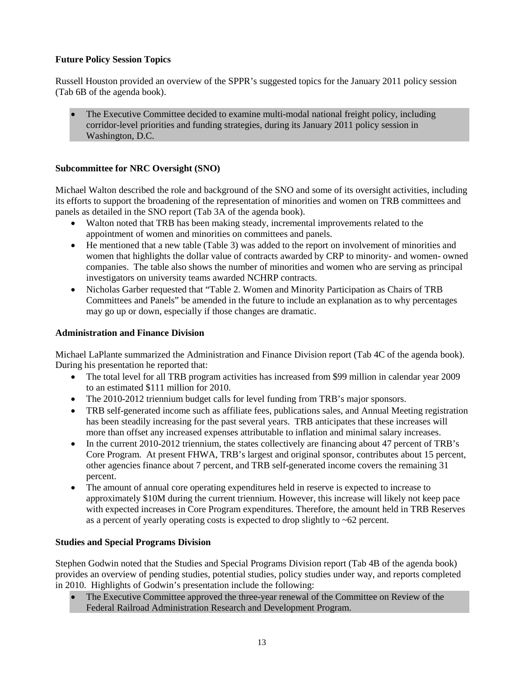#### <span id="page-12-0"></span>**Future Policy Session Topics**

Russell Houston provided an overview of the SPPR's suggested topics for the January 2011 policy session (Tab 6B of the agenda book).

• The Executive Committee decided to examine multi-modal national freight policy, including corridor-level priorities and funding strategies, during its January 2011 policy session in Washington, D.C.

#### <span id="page-12-1"></span>**Subcommittee for NRC Oversight (SNO)**

Michael Walton described the role and background of the SNO and some of its oversight activities, including its efforts to support the broadening of the representation of minorities and women on TRB committees and panels as detailed in the SNO report (Tab 3A of the agenda book).

- Walton noted that TRB has been making steady, incremental improvements related to the appointment of women and minorities on committees and panels.
- He mentioned that a new table (Table 3) was added to the report on involvement of minorities and women that highlights the dollar value of contracts awarded by CRP to minority- and women- owned companies. The table also shows the number of minorities and women who are serving as principal investigators on university teams awarded NCHRP contracts.
- Nicholas Garber requested that "Table 2. Women and Minority Participation as Chairs of TRB Committees and Panels" be amended in the future to include an explanation as to why percentages may go up or down, especially if those changes are dramatic.

#### <span id="page-12-2"></span>**Administration and Finance Division**

Michael LaPlante summarized the Administration and Finance Division report (Tab 4C of the agenda book). During his presentation he reported that:

- The total level for all TRB program activities has increased from \$99 million in calendar year 2009 to an estimated \$111 million for 2010.
- The 2010-2012 triennium budget calls for level funding from TRB's major sponsors.
- TRB self-generated income such as affiliate fees, publications sales, and Annual Meeting registration has been steadily increasing for the past several years. TRB anticipates that these increases will more than offset any increased expenses attributable to inflation and minimal salary increases.
- In the current 2010-2012 triennium, the states collectively are financing about 47 percent of TRB's Core Program. At present FHWA, TRB's largest and original sponsor, contributes about 15 percent, other agencies finance about 7 percent, and TRB self-generated income covers the remaining 31 percent.
- The amount of annual core operating expenditures held in reserve is expected to increase to approximately \$10M during the current triennium. However, this increase will likely not keep pace with expected increases in Core Program expenditures. Therefore, the amount held in TRB Reserves as a percent of yearly operating costs is expected to drop slightly to  $\sim 62$  percent.

#### <span id="page-12-3"></span>**Studies and Special Programs Division**

Stephen Godwin noted that the Studies and Special Programs Division report (Tab 4B of the agenda book) provides an overview of pending studies, potential studies, policy studies under way, and reports completed in 2010. Highlights of Godwin's presentation include the following:

• The Executive Committee approved the three-year renewal of the Committee on Review of the Federal Railroad Administration Research and Development Program.